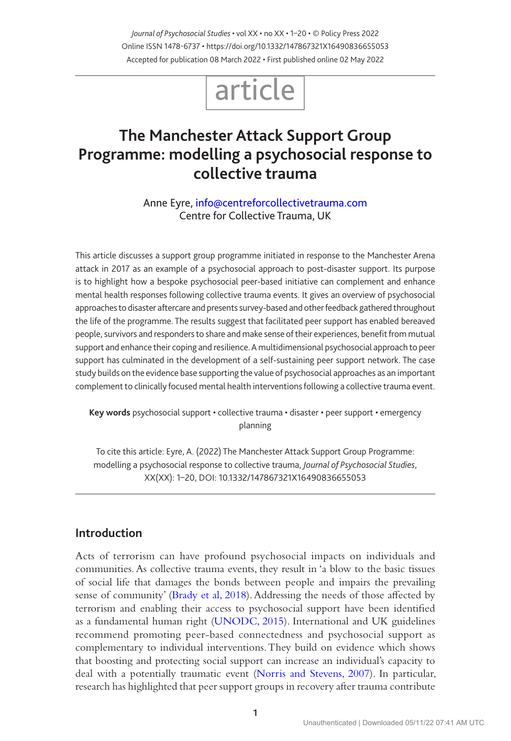*Journal of Psychosocial Studies* • vol XX • no XX • 1–20 • © Policy Press 2022 Online ISSN 1478-6737 • https://doi.org/10.1332/147867321X16490836655053 Accepted for publication 08 March 2022 • First published online 02 May 2022

# article

## **The Manchester Attack Support Group Programme: modelling a psychosocial response to collective trauma**

Anne Eyre, [info@centreforcollectivetrauma.com](mailto:info@centreforcollectivetrauma.com ) Centre for Collective Trauma, UK

This article discusses a support group programme initiated in response to the Manchester Arena attack in 2017 as an example of a psychosocial approach to post-disaster support. Its purpose is to highlight how a bespoke psychosocial peer-based initiative can complement and enhance mental health responses following collective trauma events. It gives an overview of psychosocial approaches to disaster aftercare and presents survey-based and other feedback gathered throughout the life of the programme. The results suggest that facilitated peer support has enabled bereaved people, survivors and responders to share and make sense of their experiences, benefit from mutual support and enhance their coping and resilience. A multidimensional psychosocial approach to peer support has culminated in the development of a self-sustaining peer support network. The case study builds on the evidence base supporting the value of psychosocial approaches as an important complement to clinically focused mental health interventions following a collective trauma event.

**Key words** psychosocial support • collective trauma • disaster • peer support • emergency planning

To cite this article: Eyre, A. (2022) The Manchester Attack Support Group Programme: modelling a psychosocial response to collective trauma, *Journal of Psychosocial Studies*, XX(XX): 1–20, DOI: 10.1332/147867321X16490836655053

## **Introduction**

Acts of terrorism can have profound psychosocial impacts on individuals and communities. As collective trauma events, they result in 'a blow to the basic tissues of social life that damages the bonds between people and impairs the prevailing sense of community' [\(Brady et al, 2018](#page-16-0)). Addressing the needs of those affected by terrorism and enabling their access to psychosocial support have been identified as a fundamental human right ([UNODC, 2015](#page-19-0)). International and UK guidelines recommend promoting peer-based connectedness and psychosocial support as complementary to individual interventions. They build on evidence which shows that boosting and protecting social support can increase an individual's capacity to deal with a potentially traumatic event [\(Norris and Stevens, 2007\)](#page-18-0). In particular, research has highlighted that peer support groups in recovery after trauma contribute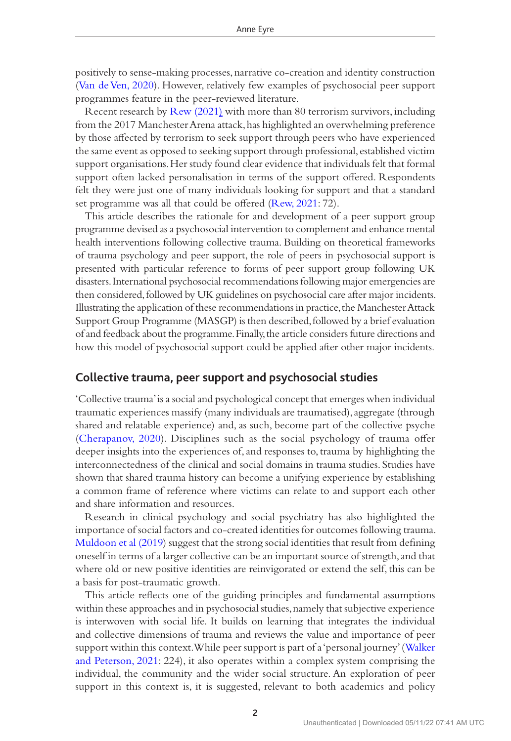positively to sense-making processes, narrative co-creation and identity construction [\(Van de Ven, 2020\)](#page-19-1). However, relatively few examples of psychosocial peer support programmes feature in the peer-reviewed literature.

Recent research by [Rew \(2021\)](#page-18-1) with more than 80 terrorism survivors, including from the 2017 Manchester Arena attack, has highlighted an overwhelming preference by those affected by terrorism to seek support through peers who have experienced the same event as opposed to seeking support through professional, established victim support organisations. Her study found clear evidence that individuals felt that formal support often lacked personalisation in terms of the support offered. Respondents felt they were just one of many individuals looking for support and that a standard set programme was all that could be offered ([Rew, 2021](#page-18-1): 72).

This article describes the rationale for and development of a peer support group programme devised as a psychosocial intervention to complement and enhance mental health interventions following collective trauma. Building on theoretical frameworks of trauma psychology and peer support, the role of peers in psychosocial support is presented with particular reference to forms of peer support group following UK disasters. International psychosocial recommendations following major emergencies are then considered, followed by UK guidelines on psychosocial care after major incidents. Illustrating the application of these recommendations in practice, the Manchester Attack Support Group Programme (MASGP) is then described, followed by a brief evaluation of and feedback about the programme. Finally, the article considers future directions and how this model of psychosocial support could be applied after other major incidents.

## **Collective trauma, peer support and psychosocial studies**

'Collective trauma' is a social and psychological concept that emerges when individual traumatic experiences massify (many individuals are traumatised), aggregate (through shared and relatable experience) and, as such, become part of the collective psyche [\(Cherapanov, 2020\)](#page-16-1). Disciplines such as the social psychology of trauma offer deeper insights into the experiences of, and responses to, trauma by highlighting the interconnectedness of the clinical and social domains in trauma studies. Studies have shown that shared trauma history can become a unifying experience by establishing a common frame of reference where victims can relate to and support each other and share information and resources.

Research in clinical psychology and social psychiatry has also highlighted the importance of social factors and co-created identities for outcomes following trauma. [Muldoon et al \(2019\)](#page-17-0) suggest that the strong social identities that result from defining oneself in terms of a larger collective can be an important source of strength, and that where old or new positive identities are reinvigorated or extend the self, this can be a basis for post-traumatic growth.

This article reflects one of the guiding principles and fundamental assumptions within these approaches and in psychosocial studies, namely that subjective experience is interwoven with social life. It builds on learning that integrates the individual and collective dimensions of trauma and reviews the value and importance of peer support within this context. While peer support is part of a 'personal journey' ([Walker](#page-19-2)  [and Peterson, 2021](#page-19-2): 224), it also operates within a complex system comprising the individual, the community and the wider social structure. An exploration of peer support in this context is, it is suggested, relevant to both academics and policy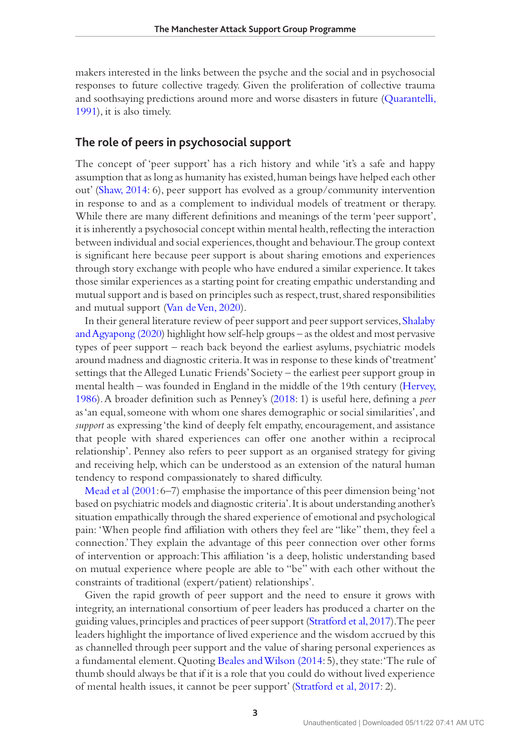makers interested in the links between the psyche and the social and in psychosocial responses to future collective tragedy. Given the proliferation of collective trauma and soothsaying predictions around more and worse disasters in future [\(Quarantelli,](#page-18-2)  [1991\)](#page-18-2), it is also timely.

## **The role of peers in psychosocial support**

The concept of 'peer support' has a rich history and while 'it's a safe and happy assumption that as long as humanity has existed, human beings have helped each other out' [\(Shaw, 2014:](#page-18-3) 6), peer support has evolved as a group/community intervention in response to and as a complement to individual models of treatment or therapy. While there are many different definitions and meanings of the term 'peer support', it is inherently a psychosocial concept within mental health, reflecting the interaction between individual and social experiences, thought and behaviour. The group context is significant here because peer support is about sharing emotions and experiences through story exchange with people who have endured a similar experience. It takes those similar experiences as a starting point for creating empathic understanding and mutual support and is based on principles such as respect, trust, shared responsibilities and mutual support [\(Van de Ven, 2020\)](#page-19-1).

In their general literature review of peer support and peer support services, [Shalaby](#page-18-4)  [and Agyapong \(2020](#page-18-4)) highlight how self-help groups – as the oldest and most pervasive types of peer support – reach back beyond the earliest asylums, psychiatric models around madness and diagnostic criteria. It was in response to these kinds of 'treatment' settings that the Alleged Lunatic Friends' Society – the earliest peer support group in mental health – was founded in England in the middle of the 19th century ([Hervey,](#page-17-1)  [1986\)](#page-17-1). A broader definition such as Penney's [\(2018:](#page-18-5) 1) is useful here, defining a *peer* as 'an equal, someone with whom one shares demographic or social similarities', and *support* as expressing 'the kind of deeply felt empathy, encouragement, and assistance that people with shared experiences can offer one another within a reciprocal relationship'. Penney also refers to peer support as an organised strategy for giving and receiving help, which can be understood as an extension of the natural human tendency to respond compassionately to shared difficulty.

[Mead et al \(2001](#page-17-2): 6–7) emphasise the importance of this peer dimension being 'not based on psychiatric models and diagnostic criteria'. It is about understanding another's situation empathically through the shared experience of emotional and psychological pain: 'When people find affiliation with others they feel are "like" them, they feel a connection.' They explain the advantage of this peer connection over other forms of intervention or approach: This affiliation 'is a deep, holistic understanding based on mutual experience where people are able to "be" with each other without the constraints of traditional (expert/patient) relationships'.

Given the rapid growth of peer support and the need to ensure it grows with integrity, an international consortium of peer leaders has produced a charter on the guiding values, principles and practices of peer support [\(Stratford et al, 2017](#page-18-6)). The peer leaders highlight the importance of lived experience and the wisdom accrued by this as channelled through peer support and the value of sharing personal experiences as a fundamental element. Quoting [Beales and Wilson \(2014](#page-16-2): 5), they state: 'The rule of thumb should always be that if it is a role that you could do without lived experience of mental health issues, it cannot be peer support' ([Stratford et al, 2017](#page-18-6): 2).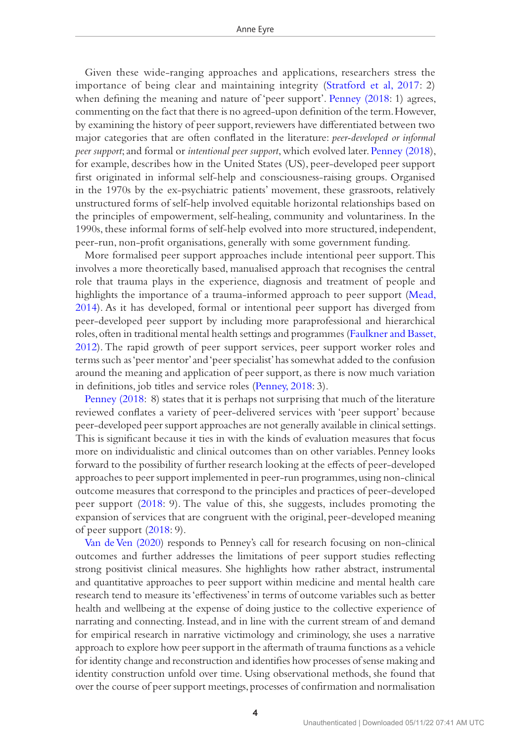Given these wide-ranging approaches and applications, researchers stress the importance of being clear and maintaining integrity ([Stratford et al, 2017:](#page-18-6) 2) when defining the meaning and nature of 'peer support'. [Penney \(2018:](#page-18-7) 1) agrees, commenting on the fact that there is no agreed-upon definition of the term. However, by examining the history of peer support, reviewers have differentiated between two major categories that are often conflated in the literature: *peer-developed or informal peer support*; and formal or *intentional peer support*, which evolved later. [Penney \(2018\)](#page-18-7), for example, describes how in the United States (US), peer-developed peer support first originated in informal self-help and consciousness-raising groups. Organised in the 1970s by the ex-psychiatric patients' movement, these grassroots, relatively unstructured forms of self-help involved equitable horizontal relationships based on the principles of empowerment, self-healing, community and voluntariness. In the 1990s, these informal forms of self-help evolved into more structured, independent, peer-run, non-profit organisations, generally with some government funding.

More formalised peer support approaches include intentional peer support. This involves a more theoretically based, manualised approach that recognises the central role that trauma plays in the experience, diagnosis and treatment of people and highlights the importance of a trauma-informed approach to peer support [\(Mead,](#page-17-3)  [2014\)](#page-17-3). As it has developed, formal or intentional peer support has diverged from peer-developed peer support by including more paraprofessional and hierarchical roles, often in traditional mental health settings and programmes [\(Faulkner and Basset,](#page-17-4)  [2012\)](#page-17-4). The rapid growth of peer support services, peer support worker roles and terms such as 'peer mentor' and 'peer specialist' has somewhat added to the confusion around the meaning and application of peer support, as there is now much variation in definitions, job titles and service roles ([Penney, 2018](#page-18-7): 3).

[Penney \(2018:](#page-18-7) 8) states that it is perhaps not surprising that much of the literature reviewed conflates a variety of peer-delivered services with 'peer support' because peer-developed peer support approaches are not generally available in clinical settings. This is significant because it ties in with the kinds of evaluation measures that focus more on individualistic and clinical outcomes than on other variables. Penney looks forward to the possibility of further research looking at the effects of peer-developed approaches to peer support implemented in peer-run programmes, using non-clinical outcome measures that correspond to the principles and practices of peer-developed peer support [\(2018](#page-18-5): 9). The value of this, she suggests, includes promoting the expansion of services that are congruent with the original, peer-developed meaning of peer support ([2018](#page-18-5): 9).

[Van de Ven \(2020](#page-19-1)) responds to Penney's call for research focusing on non-clinical outcomes and further addresses the limitations of peer support studies reflecting strong positivist clinical measures. She highlights how rather abstract, instrumental and quantitative approaches to peer support within medicine and mental health care research tend to measure its 'effectiveness' in terms of outcome variables such as better health and wellbeing at the expense of doing justice to the collective experience of narrating and connecting. Instead, and in line with the current stream of and demand for empirical research in narrative victimology and criminology, she uses a narrative approach to explore how peer support in the aftermath of trauma functions as a vehicle for identity change and reconstruction and identifies how processes of sense making and identity construction unfold over time. Using observational methods, she found that over the course of peer support meetings, processes of confirmation and normalisation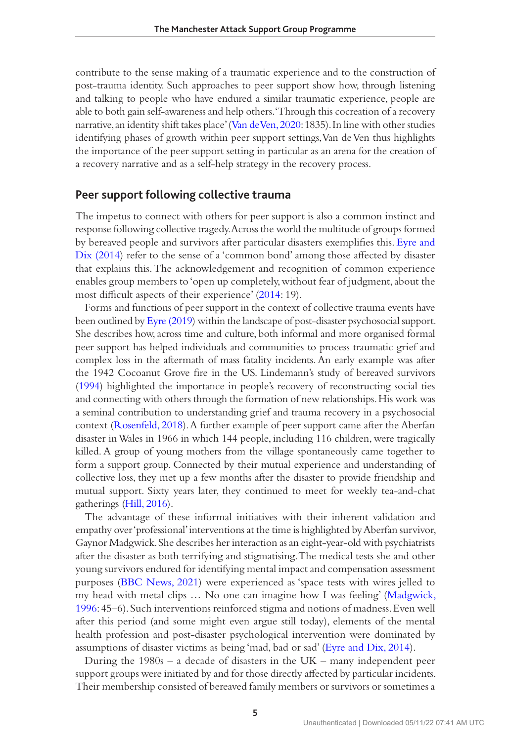contribute to the sense making of a traumatic experience and to the construction of post-trauma identity. Such approaches to peer support show how, through listening and talking to people who have endured a similar traumatic experience, people are able to both gain self-awareness and help others. 'Through this cocreation of a recovery narrative, an identity shift takes place' [\(Van de Ven, 2020](#page-19-1): 1835). In line with other studies identifying phases of growth within peer support settings, Van de Ven thus highlights the importance of the peer support setting in particular as an arena for the creation of a recovery narrative and as a self-help strategy in the recovery process.

## **Peer support following collective trauma**

The impetus to connect with others for peer support is also a common instinct and response following collective tragedy. Across the world the multitude of groups formed by bereaved people and survivors after particular disasters exemplifies this. [Eyre and](#page-16-3)  [Dix \(2014\)](#page-16-3) refer to the sense of a 'common bond' among those affected by disaster that explains this. The acknowledgement and recognition of common experience enables group members to 'open up completely, without fear of judgment, about the most difficult aspects of their experience' [\(2014:](#page-16-3) 19).

Forms and functions of peer support in the context of collective trauma events have been outlined by [Eyre \(2019\)](#page-16-4) within the landscape of post-disaster psychosocial support. She describes how, across time and culture, both informal and more organised formal peer support has helped individuals and communities to process traumatic grief and complex loss in the aftermath of mass fatality incidents. An early example was after the 1942 Cocoanut Grove fire in the US. Lindemann's study of bereaved survivors [\(1994](#page-17-5)) highlighted the importance in people's recovery of reconstructing social ties and connecting with others through the formation of new relationships. His work was a seminal contribution to understanding grief and trauma recovery in a psychosocial context ([Rosenfeld, 2018\)](#page-18-8). A further example of peer support came after the Aberfan disaster in Wales in 1966 in which 144 people, including 116 children, were tragically killed. A group of young mothers from the village spontaneously came together to form a support group. Connected by their mutual experience and understanding of collective loss, they met up a few months after the disaster to provide friendship and mutual support. Sixty years later, they continued to meet for weekly tea-and-chat gatherings [\(Hill, 2016\)](#page-17-6).

The advantage of these informal initiatives with their inherent validation and empathy over 'professional' interventions at the time is highlighted by Aberfan survivor, Gaynor Madgwick. She describes her interaction as an eight-year-old with psychiatrists after the disaster as both terrifying and stigmatising. The medical tests she and other young survivors endured for identifying mental impact and compensation assessment purposes [\(BBC News, 2021\)](#page-16-5) were experienced as 'space tests with wires jelled to my head with metal clips … No one can imagine how I was feeling' ([Madgwick,](#page-17-7)  [1996:](#page-17-7) 45–6). Such interventions reinforced stigma and notions of madness. Even well after this period (and some might even argue still today), elements of the mental health profession and post-disaster psychological intervention were dominated by assumptions of disaster victims as being 'mad, bad or sad' ([Eyre and Dix, 2014](#page-16-3)).

During the  $1980s - a$  decade of disasters in the UK – many independent peer support groups were initiated by and for those directly affected by particular incidents. Their membership consisted of bereaved family members or survivors or sometimes a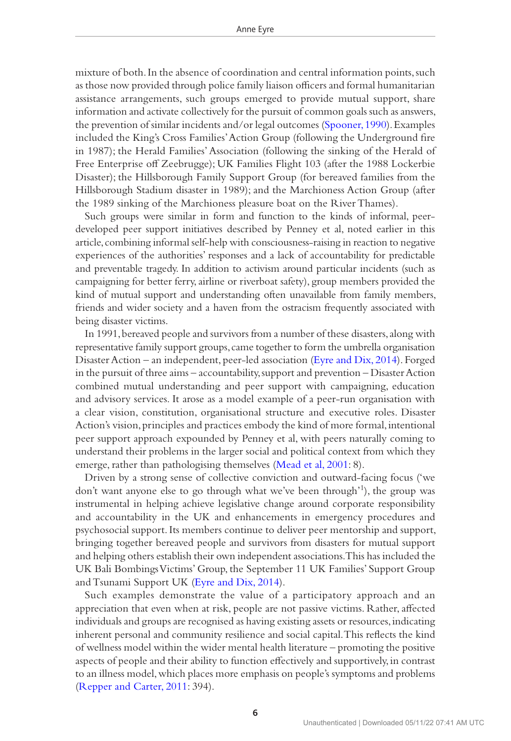mixture of both. In the absence of coordination and central information points, such as those now provided through police family liaison officers and formal humanitarian assistance arrangements, such groups emerged to provide mutual support, share information and activate collectively for the pursuit of common goals such as answers, the prevention of similar incidents and/or legal outcomes [\(Spooner, 1990](#page-18-9)). Examples included the King's Cross Families' Action Group (following the Underground fire in 1987); the Herald Families' Association (following the sinking of the Herald of Free Enterprise off Zeebrugge); UK Families Flight 103 (after the 1988 Lockerbie Disaster); the Hillsborough Family Support Group (for bereaved families from the Hillsborough Stadium disaster in 1989); and the Marchioness Action Group (after the 1989 sinking of the Marchioness pleasure boat on the River Thames).

Such groups were similar in form and function to the kinds of informal, peerdeveloped peer support initiatives described by Penney et al, noted earlier in this article, combining informal self-help with consciousness-raising in reaction to negative experiences of the authorities' responses and a lack of accountability for predictable and preventable tragedy. In addition to activism around particular incidents (such as campaigning for better ferry, airline or riverboat safety), group members provided the kind of mutual support and understanding often unavailable from family members, friends and wider society and a haven from the ostracism frequently associated with being disaster victims.

In 1991, bereaved people and survivors from a number of these disasters, along with representative family support groups, came together to form the umbrella organisation Disaster Action – an independent, peer-led association ([Eyre and Dix, 2014](#page-16-3)). Forged in the pursuit of three aims – accountability, support and prevention – Disaster Action combined mutual understanding and peer support with campaigning, education and advisory services. It arose as a model example of a peer-run organisation with a clear vision, constitution, organisational structure and executive roles. Disaster Action's vision, principles and practices embody the kind of more formal, intentional peer support approach expounded by Penney et al, with peers naturally coming to understand their problems in the larger social and political context from which they emerge, rather than pathologising themselves ([Mead et al, 2001:](#page-17-2) 8).

Driven by a strong sense of collective conviction and outward-facing focus ('we don't want anyone else to go through what we've been through'1), the group was instrumental in helping achieve legislative change around corporate responsibility and accountability in the UK and enhancements in emergency procedures and psychosocial support. Its members continue to deliver peer mentorship and support, bringing together bereaved people and survivors from disasters for mutual support and helping others establish their own independent associations. This has included the UK Bali Bombings Victims' Group, the September 11 UK Families' Support Group and Tsunami Support UK ([Eyre and Dix, 2014\)](#page-16-3).

Such examples demonstrate the value of a participatory approach and an appreciation that even when at risk, people are not passive victims. Rather, affected individuals and groups are recognised as having existing assets or resources, indicating inherent personal and community resilience and social capital. This reflects the kind of wellness model within the wider mental health literature – promoting the positive aspects of people and their ability to function effectively and supportively, in contrast to an illness model, which places more emphasis on people's symptoms and problems [\(Repper and Carter, 2011:](#page-18-10) 394).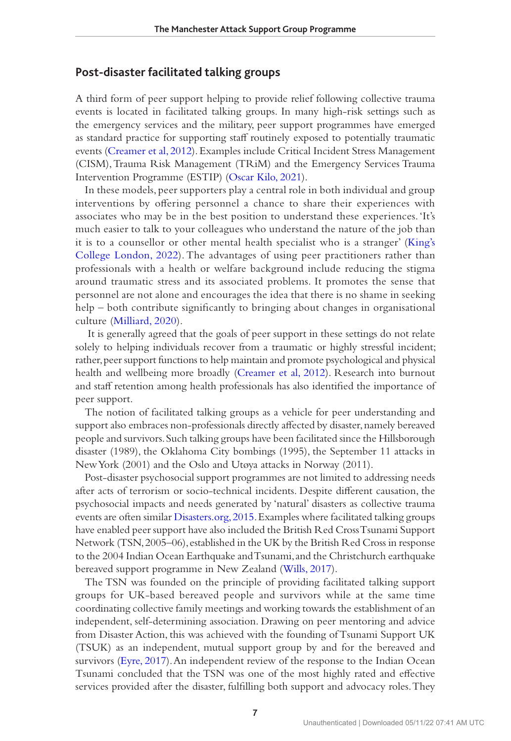## **Post-disaster facilitated talking groups**

A third form of peer support helping to provide relief following collective trauma events is located in facilitated talking groups. In many high-risk settings such as the emergency services and the military, peer support programmes have emerged as standard practice for supporting staff routinely exposed to potentially traumatic events ([Creamer et al, 2012](#page-16-6)). Examples include Critical Incident Stress Management (CISM), Trauma Risk Management (TRiM) and the Emergency Services Trauma Intervention Programme (ESTIP) [\(Oscar Kilo, 2021](#page-18-11)).

In these models, peer supporters play a central role in both individual and group interventions by offering personnel a chance to share their experiences with associates who may be in the best position to understand these experiences. 'It's much easier to talk to your colleagues who understand the nature of the job than it is to a counsellor or other mental health specialist who is a stranger' [\(King's](#page-17-8)  [College London, 2022](#page-17-8)). The advantages of using peer practitioners rather than professionals with a health or welfare background include reducing the stigma around traumatic stress and its associated problems. It promotes the sense that personnel are not alone and encourages the idea that there is no shame in seeking help – both contribute significantly to bringing about changes in organisational culture [\(Milliard, 2020\)](#page-17-9).

 It is generally agreed that the goals of peer support in these settings do not relate solely to helping individuals recover from a traumatic or highly stressful incident; rather, peer support functions to help maintain and promote psychological and physical health and wellbeing more broadly ([Creamer et al, 2012\)](#page-16-6). Research into burnout and staff retention among health professionals has also identified the importance of peer support.

The notion of facilitated talking groups as a vehicle for peer understanding and support also embraces non-professionals directly affected by disaster, namely bereaved people and survivors. Such talking groups have been facilitated since the Hillsborough disaster (1989), the Oklahoma City bombings (1995), the September 11 attacks in New York (2001) and the Oslo and Utøya attacks in Norway (2011).

Post-disaster psychosocial support programmes are not limited to addressing needs after acts of terrorism or socio-technical incidents. Despite different causation, the psychosocial impacts and needs generated by 'natural' disasters as collective trauma events are often similar [Disasters.org, 2015.](#page-16-7) Examples where facilitated talking groups have enabled peer support have also included the British Red Cross Tsunami Support Network (TSN, 2005–06), established in the UK by the British Red Cross in response to the 2004 Indian Ocean Earthquake and Tsunami, and the Christchurch earthquake bereaved support programme in New Zealand [\(Wills, 2017\)](#page-19-3).

The TSN was founded on the principle of providing facilitated talking support groups for UK-based bereaved people and survivors while at the same time coordinating collective family meetings and working towards the establishment of an independent, self-determining association. Drawing on peer mentoring and advice from Disaster Action, this was achieved with the founding of Tsunami Support UK (TSUK) as an independent, mutual support group by and for the bereaved and survivors ([Eyre, 2017\)](#page-16-8). An independent review of the response to the Indian Ocean Tsunami concluded that the TSN was one of the most highly rated and effective services provided after the disaster, fulfilling both support and advocacy roles. They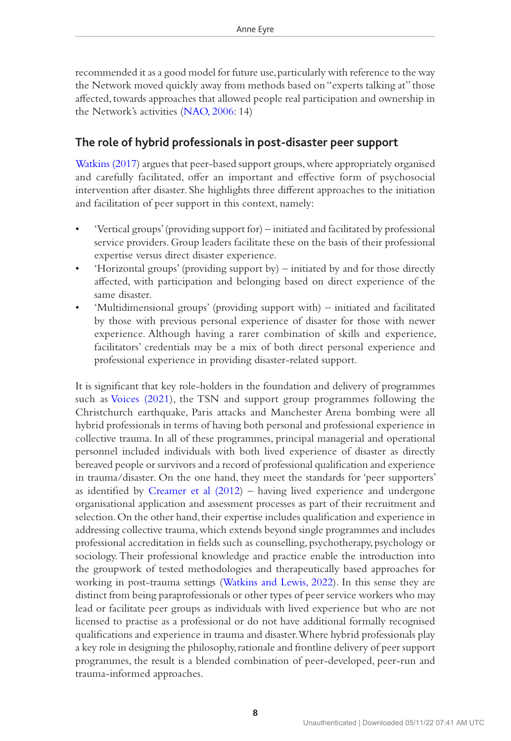recommended it as a good model for future use, particularly with reference to the way the Network moved quickly away from methods based on "experts talking at" those affected, towards approaches that allowed people real participation and ownership in the Network's activities [\(NAO, 2006](#page-18-12): 14)

## **The role of hybrid professionals in post-disaster peer support**

[Watkins \(2017\)](#page-19-4) argues that peer-based support groups, where appropriately organised and carefully facilitated, offer an important and effective form of psychosocial intervention after disaster. She highlights three different approaches to the initiation and facilitation of peer support in this context, namely:

- 'Vertical groups' (providing support for) initiated and facilitated by professional service providers. Group leaders facilitate these on the basis of their professional expertise versus direct disaster experience.
- 'Horizontal groups' (providing support by) initiated by and for those directly affected, with participation and belonging based on direct experience of the same disaster.
- 'Multidimensional groups' (providing support with) initiated and facilitated by those with previous personal experience of disaster for those with newer experience. Although having a rarer combination of skills and experience, facilitators' credentials may be a mix of both direct personal experience and professional experience in providing disaster-related support.

It is significant that key role-holders in the foundation and delivery of programmes such as [Voices \(2021\)](#page-19-5), the TSN and support group programmes following the Christchurch earthquake, Paris attacks and Manchester Arena bombing were all hybrid professionals in terms of having both personal and professional experience in collective trauma. In all of these programmes, principal managerial and operational personnel included individuals with both lived experience of disaster as directly bereaved people or survivors and a record of professional qualification and experience in trauma/disaster. On the one hand, they meet the standards for 'peer supporters' as identified by [Creamer et al \(2012](#page-16-6)) – having lived experience and undergone organisational application and assessment processes as part of their recruitment and selection. On the other hand, their expertise includes qualification and experience in addressing collective trauma, which extends beyond single programmes and includes professional accreditation in fields such as counselling, psychotherapy, psychology or sociology. Their professional knowledge and practice enable the introduction into the groupwork of tested methodologies and therapeutically based approaches for working in post-trauma settings ([Watkins and Lewis, 2022\)](#page-19-6). In this sense they are distinct from being paraprofessionals or other types of peer service workers who may lead or facilitate peer groups as individuals with lived experience but who are not licensed to practise as a professional or do not have additional formally recognised qualifications and experience in trauma and disaster. Where hybrid professionals play a key role in designing the philosophy, rationale and frontline delivery of peer support programmes, the result is a blended combination of peer-developed, peer-run and trauma-informed approaches.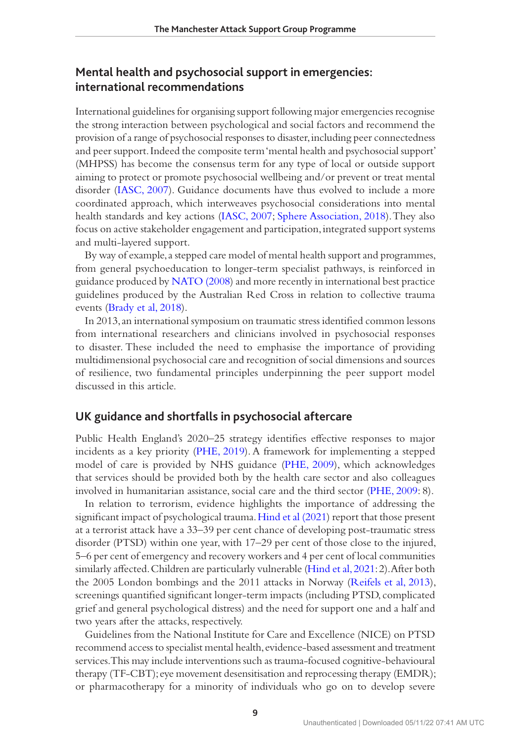## **Mental health and psychosocial support in emergencies: international recommendations**

International guidelines for organising support following major emergencies recognise the strong interaction between psychological and social factors and recommend the provision of a range of psychosocial responses to disaster, including peer connectedness and peer support. Indeed the composite term 'mental health and psychosocial support' (MHPSS) has become the consensus term for any type of local or outside support aiming to protect or promote psychosocial wellbeing and/or prevent or treat mental disorder [\(IASC, 2007\)](#page-17-10). Guidance documents have thus evolved to include a more coordinated approach, which interweaves psychosocial considerations into mental health standards and key actions [\(IASC, 2007](#page-17-10); [Sphere Association, 2018](#page-18-13)). They also focus on active stakeholder engagement and participation, integrated support systems and multi-layered support.

By way of example, a stepped care model of mental health support and programmes, from general psychoeducation to longer-term specialist pathways, is reinforced in guidance produced by [NATO \(2008\)](#page-18-14) and more recently in international best practice guidelines produced by the Australian Red Cross in relation to collective trauma events [\(Brady et al, 2018](#page-16-0)).

In 2013, an international symposium on traumatic stress identified common lessons from international researchers and clinicians involved in psychosocial responses to disaster. These included the need to emphasise the importance of providing multidimensional psychosocial care and recognition of social dimensions and sources of resilience, two fundamental principles underpinning the peer support model discussed in this article.

#### **UK guidance and shortfalls in psychosocial aftercare**

Public Health England's 2020–25 strategy identifies effective responses to major incidents as a key priority [\(PHE, 2019\)](#page-18-15). A framework for implementing a stepped model of care is provided by NHS guidance (PHE, 2009), which acknowledges that services should be provided both by the health care sector and also colleagues involved in humanitarian assistance, social care and the third sector (PHE, 2009: 8).

In relation to terrorism, evidence highlights the importance of addressing the significant impact of psychological trauma. [Hind et al \(2021\)](#page-17-11) report that those present at a terrorist attack have a 33–39 per cent chance of developing post-traumatic stress disorder (PTSD) within one year, with 17–29 per cent of those close to the injured, 5–6 per cent of emergency and recovery workers and 4 per cent of local communities similarly affected. Children are particularly vulnerable ([Hind et al, 2021](#page-17-11): 2). After both the 2005 London bombings and the 2011 attacks in Norway ([Reifels et al, 2013\)](#page-18-16), screenings quantified significant longer-term impacts (including PTSD, complicated grief and general psychological distress) and the need for support one and a half and two years after the attacks, respectively.

Guidelines from the National Institute for Care and Excellence (NICE) on PTSD recommend access to specialist mental health, evidence-based assessment and treatment services. This may include interventions such as trauma-focused cognitive-behavioural therapy (TF-CBT); eye movement desensitisation and reprocessing therapy (EMDR); or pharmacotherapy for a minority of individuals who go on to develop severe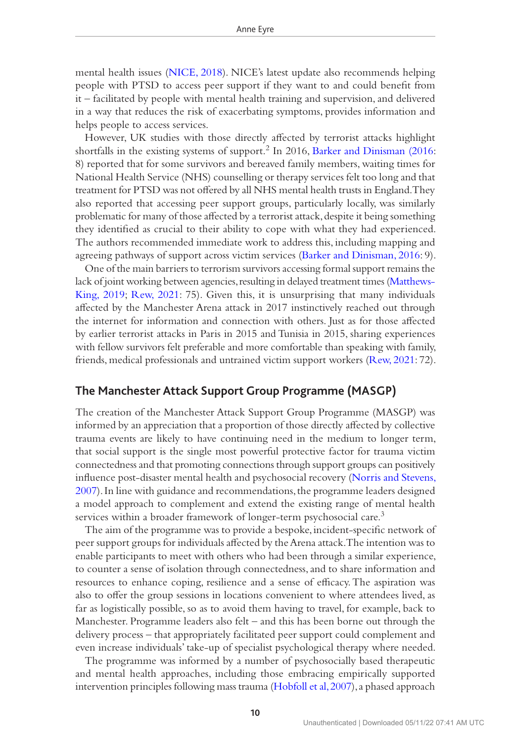mental health issues ([NICE, 2018](#page-18-17)). NICE's latest update also recommends helping people with PTSD to access peer support if they want to and could benefit from it – facilitated by people with mental health training and supervision, and delivered in a way that reduces the risk of exacerbating symptoms, provides information and helps people to access services.

However, UK studies with those directly affected by terrorist attacks highlight shortfalls in the existing systems of support.2 In 2016, [Barker and Dinisman \(2016:](#page-16-9) 8) reported that for some survivors and bereaved family members, waiting times for National Health Service (NHS) counselling or therapy services felt too long and that treatment for PTSD was not offered by all NHS mental health trusts in England. They also reported that accessing peer support groups, particularly locally, was similarly problematic for many of those affected by a terrorist attack, despite it being something they identified as crucial to their ability to cope with what they had experienced. The authors recommended immediate work to address this, including mapping and agreeing pathways of support across victim services [\(Barker and Dinisman, 2016](#page-16-9): 9).

One of the main barriers to terrorism survivors accessing formal support remains the lack of joint working between agencies, resulting in delayed treatment times [\(Matthews-](#page-17-12)[King, 2019](#page-17-12); [Rew, 2021](#page-18-1): 75). Given this, it is unsurprising that many individuals affected by the Manchester Arena attack in 2017 instinctively reached out through the internet for information and connection with others. Just as for those affected by earlier terrorist attacks in Paris in 2015 and Tunisia in 2015, sharing experiences with fellow survivors felt preferable and more comfortable than speaking with family, friends, medical professionals and untrained victim support workers [\(Rew, 2021](#page-18-1): 72).

### **The Manchester Attack Support Group Programme (MASGP)**

The creation of the Manchester Attack Support Group Programme (MASGP) was informed by an appreciation that a proportion of those directly affected by collective trauma events are likely to have continuing need in the medium to longer term, that social support is the single most powerful protective factor for trauma victim connectedness and that promoting connections through support groups can positively influence post-disaster mental health and psychosocial recovery ([Norris and Stevens,](#page-18-0)  [2007\)](#page-18-0). In line with guidance and recommendations, the programme leaders designed a model approach to complement and extend the existing range of mental health services within a broader framework of longer-term psychosocial care.<sup>3</sup>

The aim of the programme was to provide a bespoke, incident-specific network of peer support groups for individuals affected by the Arena attack. The intention was to enable participants to meet with others who had been through a similar experience, to counter a sense of isolation through connectedness, and to share information and resources to enhance coping, resilience and a sense of efficacy. The aspiration was also to offer the group sessions in locations convenient to where attendees lived, as far as logistically possible, so as to avoid them having to travel, for example, back to Manchester. Programme leaders also felt – and this has been borne out through the delivery process – that appropriately facilitated peer support could complement and even increase individuals' take-up of specialist psychological therapy where needed.

The programme was informed by a number of psychosocially based therapeutic and mental health approaches, including those embracing empirically supported intervention principles following mass trauma [\(Hobfoll et al, 2007\)](#page-17-13), a phased approach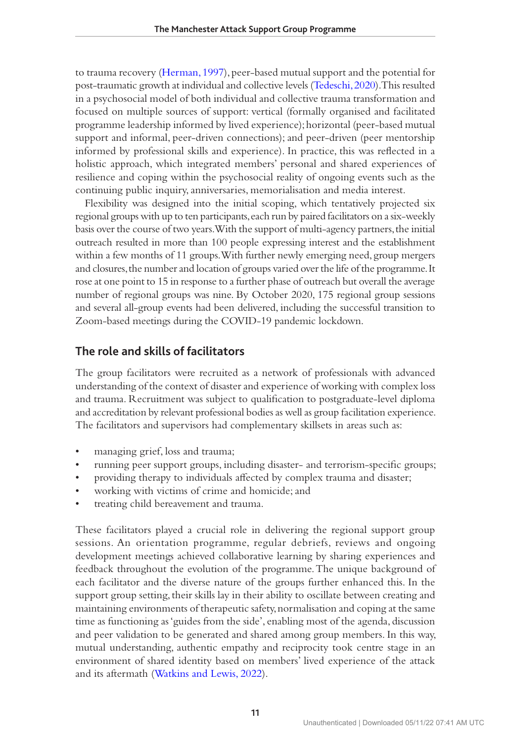to trauma recovery ([Herman, 1997\)](#page-17-14), peer-based mutual support and the potential for post-traumatic growth at individual and collective levels [\(Tedeschi, 2020](#page-19-7)). This resulted in a psychosocial model of both individual and collective trauma transformation and focused on multiple sources of support: vertical (formally organised and facilitated programme leadership informed by lived experience); horizontal (peer-based mutual support and informal, peer-driven connections); and peer-driven (peer mentorship informed by professional skills and experience). In practice, this was reflected in a holistic approach, which integrated members' personal and shared experiences of resilience and coping within the psychosocial reality of ongoing events such as the continuing public inquiry, anniversaries, memorialisation and media interest.

Flexibility was designed into the initial scoping, which tentatively projected six regional groups with up to ten participants, each run by paired facilitators on a six-weekly basis over the course of two years. With the support of multi-agency partners, the initial outreach resulted in more than 100 people expressing interest and the establishment within a few months of 11 groups. With further newly emerging need, group mergers and closures, the number and location of groups varied over the life of the programme. It rose at one point to 15 in response to a further phase of outreach but overall the average number of regional groups was nine. By October 2020, 175 regional group sessions and several all-group events had been delivered, including the successful transition to Zoom-based meetings during the COVID-19 pandemic lockdown.

## **The role and skills of facilitators**

The group facilitators were recruited as a network of professionals with advanced understanding of the context of disaster and experience of working with complex loss and trauma. Recruitment was subject to qualification to postgraduate-level diploma and accreditation by relevant professional bodies as well as group facilitation experience. The facilitators and supervisors had complementary skillsets in areas such as:

- managing grief, loss and trauma;
- running peer support groups, including disaster- and terrorism-specific groups;
- providing therapy to individuals affected by complex trauma and disaster;
- working with victims of crime and homicide; and
- treating child bereavement and trauma.

These facilitators played a crucial role in delivering the regional support group sessions. An orientation programme, regular debriefs, reviews and ongoing development meetings achieved collaborative learning by sharing experiences and feedback throughout the evolution of the programme. The unique background of each facilitator and the diverse nature of the groups further enhanced this. In the support group setting, their skills lay in their ability to oscillate between creating and maintaining environments of therapeutic safety, normalisation and coping at the same time as functioning as 'guides from the side', enabling most of the agenda, discussion and peer validation to be generated and shared among group members. In this way, mutual understanding, authentic empathy and reciprocity took centre stage in an environment of shared identity based on members' lived experience of the attack and its aftermath [\(Watkins and Lewis, 2022](#page-19-6)).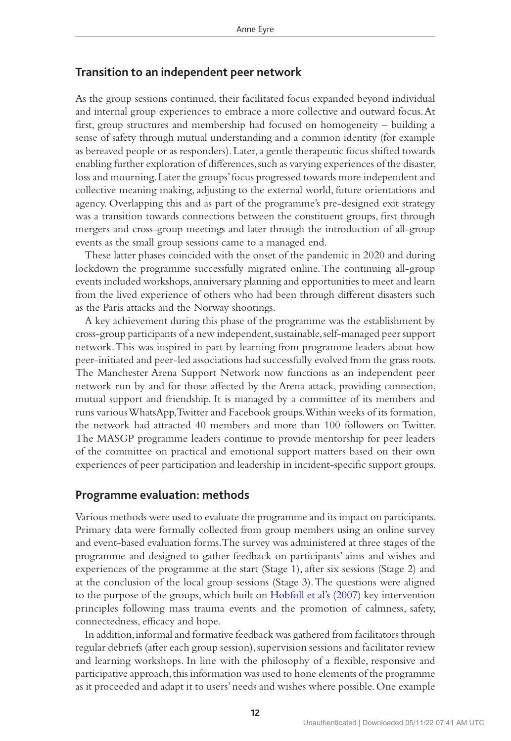## **Transition to an independent peer network**

As the group sessions continued, their facilitated focus expanded beyond individual and internal group experiences to embrace a more collective and outward focus. At first, group structures and membership had focused on homogeneity – building a sense of safety through mutual understanding and a common identity (for example as bereaved people or as responders). Later, a gentle therapeutic focus shifted towards enabling further exploration of differences, such as varying experiences of the disaster, loss and mourning. Later the groups' focus progressed towards more independent and collective meaning making, adjusting to the external world, future orientations and agency. Overlapping this and as part of the programme's pre-designed exit strategy was a transition towards connections between the constituent groups, first through mergers and cross-group meetings and later through the introduction of all-group events as the small group sessions came to a managed end.

These latter phases coincided with the onset of the pandemic in 2020 and during lockdown the programme successfully migrated online. The continuing all-group events included workshops, anniversary planning and opportunities to meet and learn from the lived experience of others who had been through different disasters such as the Paris attacks and the Norway shootings.

A key achievement during this phase of the programme was the establishment by cross-group participants of a new independent, sustainable, self-managed peer support network. This was inspired in part by learning from programme leaders about how peer-initiated and peer-led associations had successfully evolved from the grass roots. The Manchester Arena Support Network now functions as an independent peer network run by and for those affected by the Arena attack, providing connection, mutual support and friendship. It is managed by a committee of its members and runs various WhatsApp, Twitter and Facebook groups. Within weeks of its formation, the network had attracted 40 members and more than 100 followers on Twitter. The MASGP programme leaders continue to provide mentorship for peer leaders of the committee on practical and emotional support matters based on their own experiences of peer participation and leadership in incident-specific support groups.

#### **Programme evaluation: methods**

Various methods were used to evaluate the programme and its impact on participants. Primary data were formally collected from group members using an online survey and event-based evaluation forms. The survey was administered at three stages of the programme and designed to gather feedback on participants' aims and wishes and experiences of the programme at the start (Stage 1), after six sessions (Stage 2) and at the conclusion of the local group sessions (Stage 3). The questions were aligned to the purpose of the groups, which built on [Hobfoll et al's \(2007\)](#page-17-13) key intervention principles following mass trauma events and the promotion of calmness, safety, connectedness, efficacy and hope.

In addition, informal and formative feedback was gathered from facilitators through regular debriefs (after each group session), supervision sessions and facilitator review and learning workshops. In line with the philosophy of a flexible, responsive and participative approach, this information was used to hone elements of the programme as it proceeded and adapt it to users' needs and wishes where possible. One example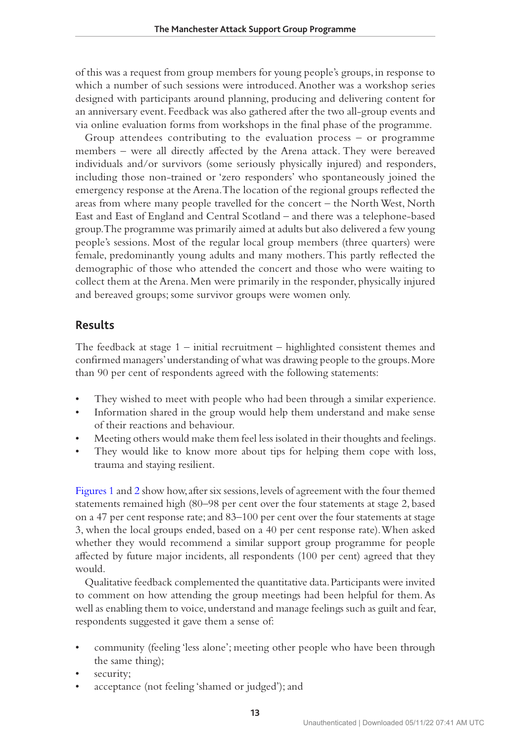of this was a request from group members for young people's groups, in response to which a number of such sessions were introduced. Another was a workshop series designed with participants around planning, producing and delivering content for an anniversary event. Feedback was also gathered after the two all-group events and via online evaluation forms from workshops in the final phase of the programme.

Group attendees contributing to the evaluation process – or programme members - were all directly affected by the Arena attack. They were bereaved individuals and/or survivors (some seriously physically injured) and responders, including those non-trained or 'zero responders' who spontaneously joined the emergency response at the Arena. The location of the regional groups reflected the areas from where many people travelled for the concert – the North West, North East and East of England and Central Scotland – and there was a telephone-based group. The programme was primarily aimed at adults but also delivered a few young people's sessions. Most of the regular local group members (three quarters) were female, predominantly young adults and many mothers. This partly reflected the demographic of those who attended the concert and those who were waiting to collect them at the Arena. Men were primarily in the responder, physically injured and bereaved groups; some survivor groups were women only.

## **Results**

The feedback at stage 1 – initial recruitment – highlighted consistent themes and confirmed managers' understanding of what was drawing people to the groups. More than 90 per cent of respondents agreed with the following statements:

- They wished to meet with people who had been through a similar experience.
- Information shared in the group would help them understand and make sense of their reactions and behaviour.
- Meeting others would make them feel less isolated in their thoughts and feelings.
- They would like to know more about tips for helping them cope with loss, trauma and staying resilient.

[Figures 1](#page-13-0) and [2](#page-13-1) show how, after six sessions, levels of agreement with the four themed statements remained high (80–98 per cent over the four statements at stage 2, based on a 47 per cent response rate; and 83–100 per cent over the four statements at stage 3, when the local groups ended, based on a 40 per cent response rate). When asked whether they would recommend a similar support group programme for people affected by future major incidents, all respondents (100 per cent) agreed that they would.

Qualitative feedback complemented the quantitative data. Participants were invited to comment on how attending the group meetings had been helpful for them. As well as enabling them to voice, understand and manage feelings such as guilt and fear, respondents suggested it gave them a sense of:

- community (feeling 'less alone'; meeting other people who have been through the same thing);
- security;
- acceptance (not feeling 'shamed or judged'); and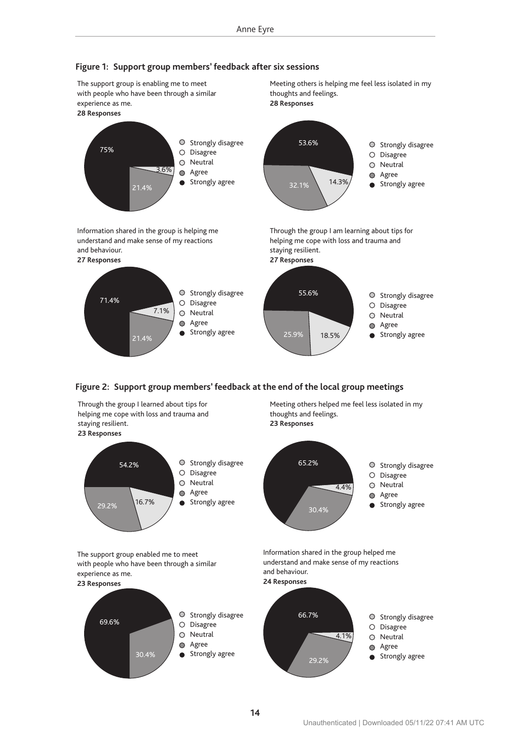

#### <span id="page-13-0"></span>**Figure 1: Support group members' feedback after six sessions**

<span id="page-13-1"></span>

Through the group I learned about tips for helping me cope with loss and trauma and staying resilient. **23 Responses**

The support group enabled me to meet with people who have been through a similar

30.4%

experience as me. **23 Responses**

69.6%



Meeting others helped me feel less isolated in my thoughts and feelings. **23 Responses**



Information shared in the group helped me understand and make sense of my reactions and behaviour.



 $O$  Strongly disagree O Disagree O Neutral Agree Strongly agree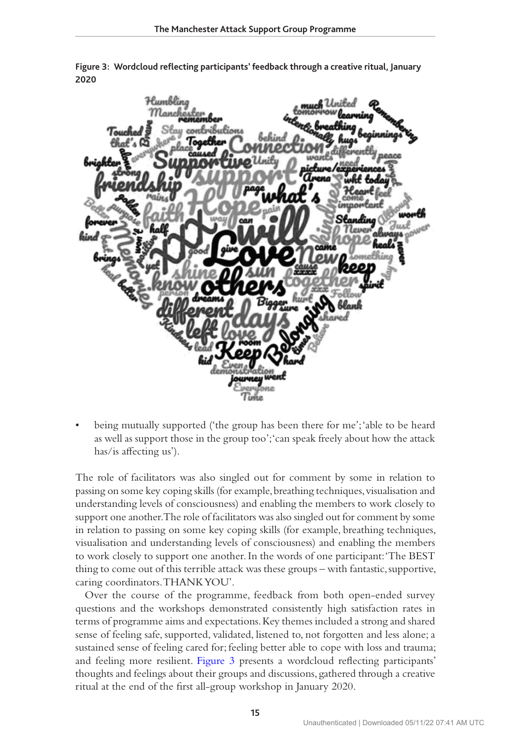

<span id="page-14-0"></span>**Figure 3: Wordcloud reflecting participants' feedback through a creative ritual, January 2020**

• being mutually supported ('the group has been there for me'; 'able to be heard as well as support those in the group too'; 'can speak freely about how the attack has/is affecting us').

The role of facilitators was also singled out for comment by some in relation to passing on some key coping skills (for example, breathing techniques, visualisation and understanding levels of consciousness) and enabling the members to work closely to support one another. The role of facilitators was also singled out for comment by some in relation to passing on some key coping skills (for example, breathing techniques, visualisation and understanding levels of consciousness) and enabling the members to work closely to support one another. In the words of one participant: 'The BEST thing to come out of this terrible attack was these groups – with fantastic, supportive, caring coordinators. THANK YOU'.

Over the course of the programme, feedback from both open-ended survey questions and the workshops demonstrated consistently high satisfaction rates in terms of programme aims and expectations. Key themes included a strong and shared sense of feeling safe, supported, validated, listened to, not forgotten and less alone; a sustained sense of feeling cared for; feeling better able to cope with loss and trauma; and feeling more resilient. [Figure 3](#page-14-0) presents a wordcloud reflecting participants' thoughts and feelings about their groups and discussions, gathered through a creative ritual at the end of the first all-group workshop in January 2020.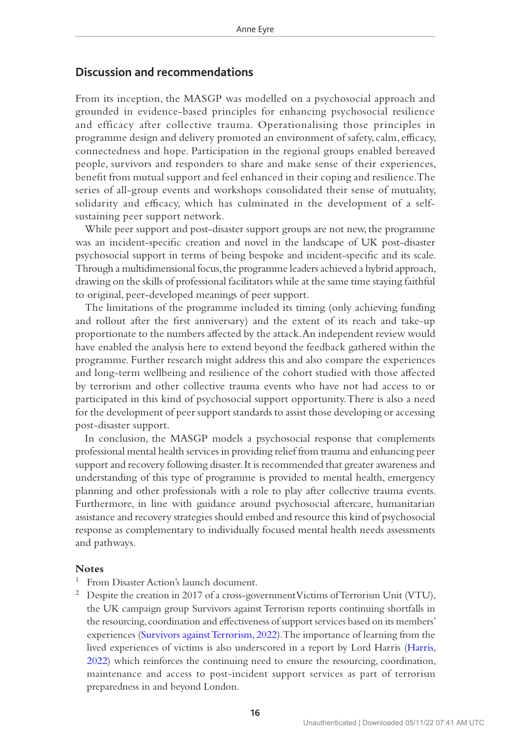## **Discussion and recommendations**

From its inception, the MASGP was modelled on a psychosocial approach and grounded in evidence-based principles for enhancing psychosocial resilience and efficacy after collective trauma. Operationalising those principles in programme design and delivery promoted an environment of safety, calm, efficacy, connectedness and hope. Participation in the regional groups enabled bereaved people, survivors and responders to share and make sense of their experiences, benefit from mutual support and feel enhanced in their coping and resilience. The series of all-group events and workshops consolidated their sense of mutuality, solidarity and efficacy, which has culminated in the development of a selfsustaining peer support network.

While peer support and post-disaster support groups are not new, the programme was an incident-specific creation and novel in the landscape of UK post-disaster psychosocial support in terms of being bespoke and incident-specific and its scale. Through a multidimensional focus, the programme leaders achieved a hybrid approach, drawing on the skills of professional facilitators while at the same time staying faithful to original, peer-developed meanings of peer support.

The limitations of the programme included its timing (only achieving funding and rollout after the first anniversary) and the extent of its reach and take-up proportionate to the numbers affected by the attack. An independent review would have enabled the analysis here to extend beyond the feedback gathered within the programme. Further research might address this and also compare the experiences and long-term wellbeing and resilience of the cohort studied with those affected by terrorism and other collective trauma events who have not had access to or participated in this kind of psychosocial support opportunity. There is also a need for the development of peer support standards to assist those developing or accessing post-disaster support.

In conclusion, the MASGP models a psychosocial response that complements professional mental health services in providing relief from trauma and enhancing peer support and recovery following disaster. It is recommended that greater awareness and understanding of this type of programme is provided to mental health, emergency planning and other professionals with a role to play after collective trauma events. Furthermore, in line with guidance around psychosocial aftercare, humanitarian assistance and recovery strategies should embed and resource this kind of psychosocial response as complementary to individually focused mental health needs assessments and pathways.

#### **Notes**

- From Disaster Action's launch document.
- <sup>2</sup> Despite the creation in 2017 of a cross-government Victims of Terrorism Unit (VTU), the UK campaign group Survivors against Terrorism reports continuing shortfalls in the resourcing, coordination and effectiveness of support services based on its members' experiences ([Survivors against Terrorism, 2022](#page-19-8)). The importance of learning from the lived experiences of victims is also underscored in a report by Lord Harris ([Harris,](#page-17-4)  [2022\)](#page-17-4) which reinforces the continuing need to ensure the resourcing, coordination, maintenance and access to post-incident support services as part of terrorism preparedness in and beyond London.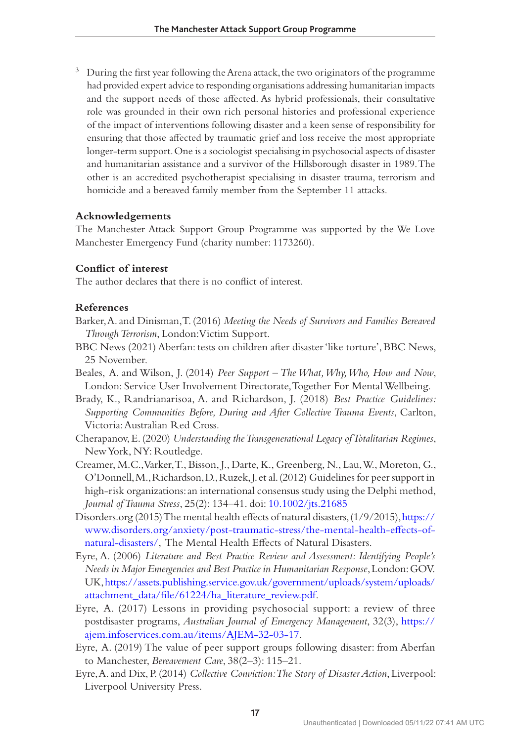<sup>3</sup> During the first year following the Arena attack, the two originators of the programme had provided expert advice to responding organisations addressing humanitarian impacts and the support needs of those affected. As hybrid professionals, their consultative role was grounded in their own rich personal histories and professional experience of the impact of interventions following disaster and a keen sense of responsibility for ensuring that those affected by traumatic grief and loss receive the most appropriate longer-term support. One is a sociologist specialising in psychosocial aspects of disaster and humanitarian assistance and a survivor of the Hillsborough disaster in 1989. The other is an accredited psychotherapist specialising in disaster trauma, terrorism and homicide and a bereaved family member from the September 11 attacks.

#### **Acknowledgements**

The Manchester Attack Support Group Programme was supported by the We Love Manchester Emergency Fund (charity number: 1173260).

#### **Conflict of interest**

The author declares that there is no conflict of interest.

#### **References**

- <span id="page-16-9"></span>Barker, A. and Dinisman, T. (2016) *Meeting the Needs of Survivors and Families Bereaved Through Terrorism*, London: Victim Support.
- <span id="page-16-5"></span>BBC News (2021) Aberfan: tests on children after disaster 'like torture', BBC News, 25 November.
- <span id="page-16-2"></span>Beales, A. and Wilson, J. (2014) *Peer Support – The What, Why, Who, How and Now*, London: Service User Involvement Directorate, Together For Mental Wellbeing.
- <span id="page-16-0"></span>Brady, K., Randrianarisoa, A. and Richardson, J. (2018) *Best Practice Guidelines: Supporting Communities Before, During and After Collective Trauma Events*, Carlton, Victoria: Australian Red Cross.
- <span id="page-16-1"></span>Cherapanov, E. (2020) *Understanding the Transgenerational Legacy of Totalitarian Regimes*, New York, NY: Routledge.
- <span id="page-16-6"></span>Creamer, M.C., Varker, T., Bisson, J., Darte, K., Greenberg, N., Lau, W., Moreton, G., O'Donnell, M., Richardson, D., Ruzek, J. et al. (2012) Guidelines for peer support in high-risk organizations: an international consensus study using the Delphi method, *Journal of Trauma Stress*, 25(2): 134–41. doi: [10.1002/jts.21685](https://doi.org/10.1002/jts.21685)
- <span id="page-16-7"></span>Disorders.org (2015) The mental health effects of natural disasters, (1/9/2015), [https://](https://www.disorders.org/anxiety/post-traumatic-stress/the-mental-health-effects-of-natural-disasters/) [www.disorders.org/anxiety/post-traumatic-stress/the-mental-health-effects-of](https://www.disorders.org/anxiety/post-traumatic-stress/the-mental-health-effects-of-natural-disasters/)[natural-disasters/](https://www.disorders.org/anxiety/post-traumatic-stress/the-mental-health-effects-of-natural-disasters/), The Mental Health Effects of Natural Disasters.
- <span id="page-16-8"></span>Eyre, A. (2006) *Literature and Best Practice Review and Assessment: Identifying People's Needs in Major Emergencies and Best Practice in Humanitarian Response*, London: GOV. UK, [https://assets.publishing.service.gov.uk/government/uploads/system/uploads/](https://assets.publishing.service.gov.uk/government/uploads/system/uploads/attachment_data/file/61224/ha_literature_review.pdf) [attachment\\_data/file/61224/ha\\_literature\\_review.pdf.](https://assets.publishing.service.gov.uk/government/uploads/system/uploads/attachment_data/file/61224/ha_literature_review.pdf)
- <span id="page-16-4"></span>Eyre, A. (2017) Lessons in providing psychosocial support: a review of three postdisaster programs, *Australian Journal of Emergency Management*, 32(3), [https://](https://ajem.infoservices.com.au/items/AJEM-32-03-17) [ajem.infoservices.com.au/items/AJEM-32-03-17.](https://ajem.infoservices.com.au/items/AJEM-32-03-17)
- Eyre, A. (2019) The value of peer support groups following disaster: from Aberfan to Manchester, *Bereavement Care*, 38(2–3): 115–21.
- <span id="page-16-3"></span>Eyre, A. and Dix, P. (2014) *Collective Conviction: The Story of Disaster Action*, Liverpool: Liverpool University Press.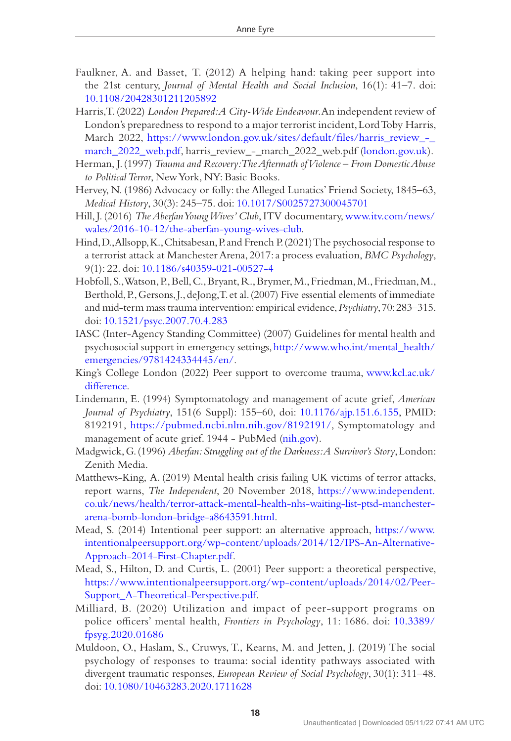- <span id="page-17-4"></span>Faulkner, A. and Basset, T. (2012) A helping hand: taking peer support into the 21st century, *Journal of Mental Health and Social Inclusion*, 16(1): 41–7. doi: [10.1108/20428301211205892](https://doi.org/10.1108/20428301211205892)
- Harris, T. (2022) *London Prepared: A City-Wide Endeavour*. An independent review of London's preparedness to respond to a major terrorist incident, Lord Toby Harris, March 2022, [https://www.london.gov.uk/sites/default/files/harris\\_review\\_-\\_](https://www.london.gov.uk/sites/default/files/harris_review_-_march_2022_web.pdf) [march\\_2022\\_web.pdf,](https://www.london.gov.uk/sites/default/files/harris_review_-_march_2022_web.pdf) harris\_review\_-\_march\_2022\_web.pdf [\(london.gov.uk](http://london.gov.uk)).
- <span id="page-17-14"></span>Herman, J. (1997) *Trauma and Recovery: The Aftermath of Violence – From Domestic Abuse to Political Terror*, New York, NY: Basic Books.
- <span id="page-17-1"></span>Hervey, N. (1986) Advocacy or folly: the Alleged Lunatics' Friend Society, 1845–63, *Medical History*, 30(3): 245–75. doi: [10.1017/S0025727300045701](https://doi.org/10.1017/S0025727300045701)
- <span id="page-17-6"></span>Hill, J. (2016) *The Aberfan Young Wives' Club*, ITV documentary, [www.itv.com/news/](www.itv.com/news/wales/2016-10-12/the-aberfan-young-wives-club) [wales/2016-10-12/the-aberfan-young-wives-club.](www.itv.com/news/wales/2016-10-12/the-aberfan-young-wives-club)
- <span id="page-17-11"></span>Hind, D., Allsopp, K., Chitsabesan, P. and French P. (2021) The psychosocial response to a terrorist attack at Manchester Arena, 2017: a process evaluation, *BMC Psychology*, 9(1): 22. doi: [10.1186/s40359-021-00527-4](https://doi.org/10.1186/s40359-021-00527-4)
- <span id="page-17-13"></span>Hobfoll, S., Watson, P., Bell, C., Bryant, R., Brymer, M., Friedman, M., Friedman, M., Berthold, P., Gersons, J., deJong, T. et al. (2007) Five essential elements of immediate and mid-term mass trauma intervention: empirical evidence, *Psychiatry*, 70: 283–315. doi: [10.1521/psyc.2007.70.4.283](https://doi.org/10.1521/psyc.2007.70.4.283)
- <span id="page-17-10"></span>IASC (Inter-Agency Standing Committee) (2007) Guidelines for mental health and psychosocial support in emergency settings, [http://www.who.int/mental\\_health/](http://www.who.int/mental_health/emergencies/9781424334445/en/) [emergencies/9781424334445/en/](http://www.who.int/mental_health/emergencies/9781424334445/en/).
- <span id="page-17-8"></span>King's College London (2022) Peer support to overcome trauma, [www.kcl.ac.uk/](www.kcl.ac.uk/difference) [difference](www.kcl.ac.uk/difference).
- <span id="page-17-5"></span>Lindemann, E. (1994) Symptomatology and management of acute grief, *American Journal of Psychiatry*, 151(6 Suppl): 155–60, doi: [10.1176/ajp.151.6.155,](https://doi.org/10.1176/ajp.151.6.155) PMID: 8192191, [https://pubmed.ncbi.nlm.nih.gov/8192191/,](https://pubmed.ncbi.nlm.nih.gov/8192191/) Symptomatology and management of acute grief. 1944 - PubMed ([nih.gov](http://nih.gov)).
- <span id="page-17-7"></span>Madgwick, G. (1996) *Aberfan: Struggling out of the Darkness: A Survivor's Story*, London: Zenith Media.
- <span id="page-17-12"></span>Matthews-King, A. (2019) Mental health crisis failing UK victims of terror attacks, report warns, *The Independent*, 20 November 2018, [https://www.independent.](https://www.independent.co.uk/news/health/terror-attack-mental-health-nhs-waiting-list-ptsd-manchester-arena-bomb-london-bridge-a8643591.html) [co.uk/news/health/terror-attack-mental-health-nhs-waiting-list-ptsd-manchester](https://www.independent.co.uk/news/health/terror-attack-mental-health-nhs-waiting-list-ptsd-manchester-arena-bomb-london-bridge-a8643591.html)[arena-bomb-london-bridge-a8643591.html](https://www.independent.co.uk/news/health/terror-attack-mental-health-nhs-waiting-list-ptsd-manchester-arena-bomb-london-bridge-a8643591.html).
- <span id="page-17-3"></span>Mead, S. (2014) Intentional peer support: an alternative approach, [https://www.](https://www.intentionalpeersupport.org/wp-content/uploads/2014/12/IPS-An-Alternative-Approach-2014-First-Chapter.pdf) [intentionalpeersupport.org/wp-content/uploads/2014/12/IPS-An-Alternative-](https://www.intentionalpeersupport.org/wp-content/uploads/2014/12/IPS-An-Alternative-Approach-2014-First-Chapter.pdf)[Approach-2014-First-Chapter.pdf](https://www.intentionalpeersupport.org/wp-content/uploads/2014/12/IPS-An-Alternative-Approach-2014-First-Chapter.pdf).
- <span id="page-17-2"></span>Mead, S., Hilton, D. and Curtis, L. (2001) Peer support: a theoretical perspective, [https://www.intentionalpeersupport.org/wp-content/uploads/2014/02/Peer-](https://www.intentionalpeersupport.org/wp-content/uploads/2014/02/Peer-Support_A-Theoretical-Perspective.pdf)[Support\\_A-Theoretical-Perspective.pdf.](https://www.intentionalpeersupport.org/wp-content/uploads/2014/02/Peer-Support_A-Theoretical-Perspective.pdf)
- <span id="page-17-9"></span>Milliard, B. (2020) Utilization and impact of peer-support programs on police officers' mental health, *Frontiers in Psychology*, 11: 1686. doi: [10.3389/](https://doi.org/10.3389/fpsyg.2020.01686) [fpsyg.2020.01686](https://doi.org/10.3389/fpsyg.2020.01686)
- <span id="page-17-0"></span>Muldoon, O., Haslam, S., Cruwys, T., Kearns, M. and Jetten, J. (2019) The social psychology of responses to trauma: social identity pathways associated with divergent traumatic responses, *European Review of Social Psychology*, 30(1): 311–48. doi: [10.1080/10463283.2020.1711628](https://doi.org/10.1080/10463283.2020.1711628)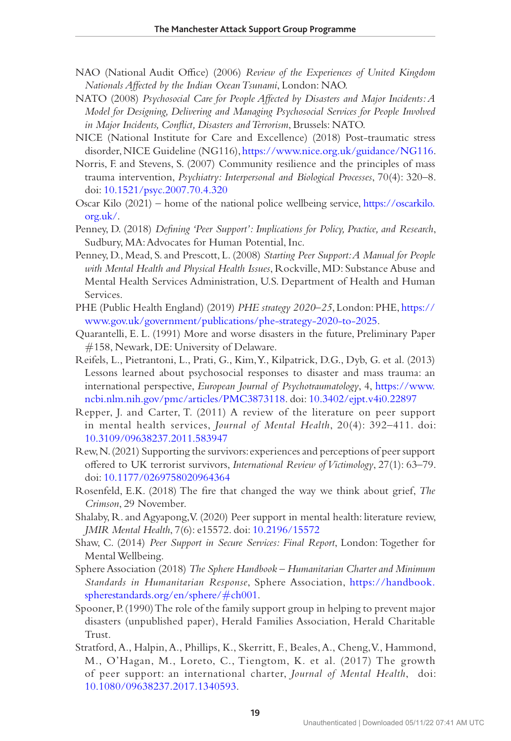- <span id="page-18-12"></span>NAO (National Audit Office) (2006) *Review of the Experiences of United Kingdom Nationals Affected by the Indian Ocean Tsunami*, London: NAO.
- <span id="page-18-14"></span>NATO (2008) *Psychosocial Care for People Affected by Disasters and Major Incidents: A Model for Designing, Delivering and Managing Psychosocial Services for People Involved in Major Incidents, Conflict, Disasters and Terrorism*, Brussels: NATO.
- <span id="page-18-17"></span>NICE (National Institute for Care and Excellence) (2018) Post-traumatic stress disorder, NICE Guideline (NG116), [https://www.nice.org.uk/guidance/NG116.](https://www.nice.org.uk/guidance/NG116)
- <span id="page-18-0"></span>Norris, F. and Stevens, S. (2007) Community resilience and the principles of mass trauma intervention, *Psychiatry: Interpersonal and Biological Processes*, 70(4): 320–8. doi: [10.1521/psyc.2007.70.4.320](https://doi.org/10.1521/psyc.2007.70.4.320)
- <span id="page-18-11"></span>Oscar Kilo (2021) – home of the national police wellbeing service, [https://oscarkilo.](https://oscarkilo.org.uk/) [org.uk/](https://oscarkilo.org.uk/).
- <span id="page-18-7"></span>Penney, D. (2018) *Defining 'Peer Support': Implications for Policy, Practice, and Research*, Sudbury, MA: Advocates for Human Potential, Inc.
- <span id="page-18-5"></span>Penney, D., Mead, S. and Prescott, L. (2008) *Starting Peer Support: A Manual for People with Mental Health and Physical Health Issues*, Rockville, MD: Substance Abuse and Mental Health Services Administration, U.S. Department of Health and Human Services.
- <span id="page-18-15"></span>PHE (Public Health England) (2019) *PHE strategy 2020–25*, London: PHE, [https://](https://www.gov.uk/government/publications/phe-strategy-2020-to-2025) [www.gov.uk/government/publications/phe-strategy-2020-to-2025](https://www.gov.uk/government/publications/phe-strategy-2020-to-2025).
- <span id="page-18-2"></span>Quarantelli, E. L. (1991) More and worse disasters in the future, Preliminary Paper #158, Newark, DE: University of Delaware.
- <span id="page-18-16"></span>Reifels, L., Pietrantoni, L., Prati, G., Kim, Y., Kilpatrick, D.G., Dyb, G. et al. (2013) Lessons learned about psychosocial responses to disaster and mass trauma: an international perspective, *European Journal of Psychotraumatology*, 4, [https://www.](https://www.ncbi.nlm.nih.gov/pmc/articles/PMC3873118) [ncbi.nlm.nih.gov/pmc/articles/PMC3873118](https://www.ncbi.nlm.nih.gov/pmc/articles/PMC3873118). doi: [10.3402/ejpt.v4i0.22897](https://doi.org/10.3402/ejpt.v4i0.22897)
- <span id="page-18-10"></span>Repper, J. and Carter, T. (2011) A review of the literature on peer support in mental health services, *Journal of Mental Health*, 20(4): 392–411. doi: [10.3109/09638237.2011.583947](https://doi.org/10.3109/09638237.2011.583947)
- <span id="page-18-1"></span>Rew, N. (2021) Supporting the survivors: experiences and perceptions of peer support offered to UK terrorist survivors, *International Review of Victimology*, 27(1): 63–79. doi: [10.1177/0269758020964364](https://doi.org/10.1177/0269758020964364)
- <span id="page-18-8"></span>Rosenfeld, E.K. (2018) The fire that changed the way we think about grief, *The Crimson*, 29 November.
- <span id="page-18-4"></span>Shalaby, R. and Agyapong, V. (2020) Peer support in mental health: literature review, *JMIR Mental Health*, 7(6): e15572. doi: [10.2196/15572](https://doi.org/10.2196/15572)
- <span id="page-18-3"></span>Shaw, C. (2014) *Peer Support in Secure Services: Final Report*, London: Together for Mental Wellbeing.
- <span id="page-18-13"></span>Sphere Association (2018) *The Sphere Handbook – Humanitarian Charter and Minimum Standards in Humanitarian Response*, Sphere Association, [https://handbook.](https://handbook.spherestandards.org/en/sphere/﻿#﻿ch001) [spherestandards.org/en/sphere/](https://handbook.spherestandards.org/en/sphere/﻿#﻿ch001)#ch001.
- <span id="page-18-9"></span>Spooner, P. (1990) The role of the family support group in helping to prevent major disasters (unpublished paper), Herald Families Association, Herald Charitable Trust.
- <span id="page-18-6"></span>Stratford, A., Halpin, A., Phillips, K., Skerritt, F., Beales, A., Cheng, V., Hammond, M., O'Hagan, M., Loreto, C., Tiengtom, K. et al. (2017) The growth of peer support: an international charter, *Journal of Mental Health*, doi: [10.1080/09638237.2017.1340593.](https://doi.org/10.1080/09638237.2017.1340593)